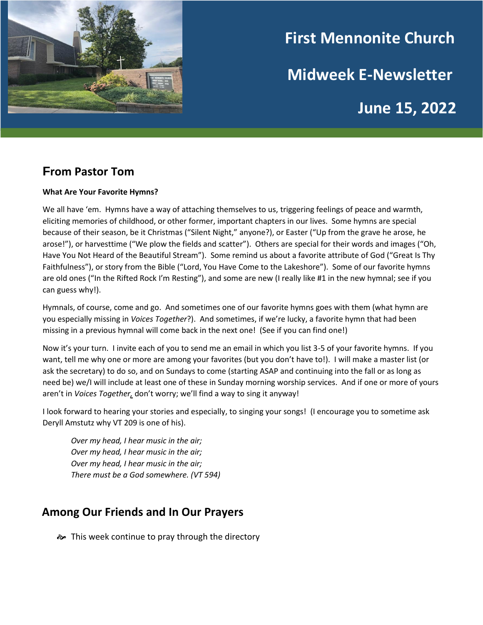

# **First Mennonite Church Midweek E-Newsletter June 15, 2022**

# **From Pastor Tom**

#### **What Are Your Favorite Hymns?**

We all have 'em. Hymns have a way of attaching themselves to us, triggering feelings of peace and warmth, eliciting memories of childhood, or other former, important chapters in our lives. Some hymns are special because of their season, be it Christmas ("Silent Night," anyone?), or Easter ("Up from the grave he arose, he arose!"), or harvesttime ("We plow the fields and scatter"). Others are special for their words and images ("Oh, Have You Not Heard of the Beautiful Stream"). Some remind us about a favorite attribute of God ("Great Is Thy Faithfulness"), or story from the Bible ("Lord, You Have Come to the Lakeshore"). Some of our favorite hymns are old ones ("In the Rifted Rock I'm Resting"), and some are new (I really like #1 in the new hymnal; see if you can guess why!).

Hymnals, of course, come and go. And sometimes one of our favorite hymns goes with them (what hymn are you especially missing in *Voices Together*?). And sometimes, if we're lucky, a favorite hymn that had been missing in a previous hymnal will come back in the next one! (See if you can find one!)

Now it's your turn. I invite each of you to send me an email in which you list 3-5 of your favorite hymns. If you want, tell me why one or more are among your favorites (but you don't have to!). I will make a master list (or ask the secretary) to do so, and on Sundays to come (starting ASAP and continuing into the fall or as long as need be) we/I will include at least one of these in Sunday morning worship services. And if one or more of yours aren't in *Voices Together,* don't worry; we'll find a way to sing it anyway!

I look forward to hearing your stories and especially, to singing your songs! (I encourage you to sometime ask Deryll Amstutz why VT 209 is one of his).

*Over my head, I hear music in the air; Over my head, I hear music in the air; Over my head, I hear music in the air; There must be a God somewhere. (VT 594)*

## **Among Our Friends and In Our Prayers**

 $\approx$  This week continue to pray through the directory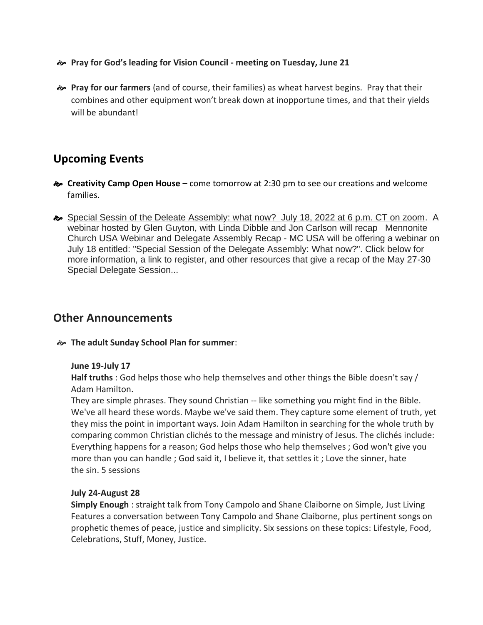- **Pray for God's leading for Vision Council - meeting on Tuesday, June 21**
- **Pray for our farmers** (and of course, their families) as wheat harvest begins. Pray that their combines and other equipment won't break down at inopportune times, and that their yields will be abundant!

## **Upcoming Events**

- **Creativity Camp Open House –** come tomorrow at 2:30 pm to see our creations and welcome families.
- Special Sessin of the Deleate Assembly: what now? July 18, 2022 at 6 p.m. CT on zoom. A webinar hosted by Glen Guyton, with Linda Dibble and Jon Carlson will recap Mennonite Church USA Webinar and Delegate Assembly Recap - MC USA will be offering a webinar on July 18 entitled: "Special Session of the Delegate Assembly: What now?". Click below for more information, a link to register, and other resources that give a recap of the May 27-30 Special Delegate Session...

## **Other Announcements**

#### **The adult Sunday School Plan for summer**:

#### **June 19-July 17**

**Half truths** : God helps those who help themselves and other things the Bible doesn't say / Adam Hamilton.

They are simple phrases. They sound Christian -- like something you might find in the Bible. We've all heard these words. Maybe we've said them. They capture some element of truth, yet they miss the point in important ways. Join Adam Hamilton in searching for the whole truth by comparing common Christian clichés to the message and ministry of Jesus. The clichés include: Everything happens for a reason; God helps those who help themselves ; God won't give you more than you can handle ; God said it, I believe it, that settles it ; Love the sinner, hate the sin. 5 sessions

#### **July 24-August 28**

**Simply Enough** : straight talk from Tony Campolo and Shane Claiborne on Simple, Just Living Features a conversation between Tony Campolo and Shane Claiborne, plus pertinent songs on prophetic themes of peace, justice and simplicity. Six sessions on these topics: Lifestyle, Food, Celebrations, Stuff, Money, Justice.